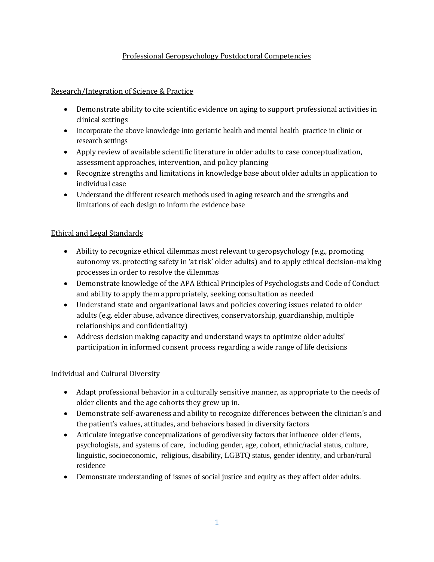### Professional Geropsychology Postdoctoral Competencies

Research/Integration of Science & Practice

- Demonstrate ability to cite scientific evidence on aging to support professional activities in clinical settings
- Incorporate the above knowledge into geriatric health and mental health practice in clinic or research settings
- Apply review of available scientific literature in older adults to case conceptualization, assessment approaches, intervention, and policy planning
- Recognize strengths and limitations in knowledge base about older adults in application to individual case
- Understand the different research methods used in aging research and the strengths and limitations of each design to inform the evidence base

# Ethical and Legal Standards

- Ability to recognize ethical dilemmas most relevant to geropsychology (e.g., promoting autonomy vs. protecting safety in 'at risk' older adults) and to apply ethical decision-making processes in order to resolve the dilemmas
- Demonstrate knowledge of the APA Ethical Principles of Psychologists and Code of Conduct and ability to apply them appropriately, seeking consultation as needed
- Understand state and organizational laws and policies covering issues related to older adults (e.g. elder abuse, advance directives, conservatorship, guardianship, multiple relationships and confidentiality)
- Address decision making capacity and understand ways to optimize older adults' participation in informed consent process regarding a wide range of life decisions

# Individual and Cultural Diversity

- Adapt professional behavior in a culturally sensitive manner, as appropriate to the needs of older clients and the age cohorts they grew up in.
- Demonstrate self-awareness and ability to recognize differences between the clinician's and the patient's values, attitudes, and behaviors based in diversity factors
- Articulate integrative conceptualizations of gerodiversity factors that influence older clients, psychologists, and systems of care, including gender, age, cohort, ethnic/racial status, culture, linguistic, socioeconomic, religious, disability, LGBTQ status, gender identity, and urban/rural residence
- Demonstrate understanding of issues of social justice and equity as they affect older adults.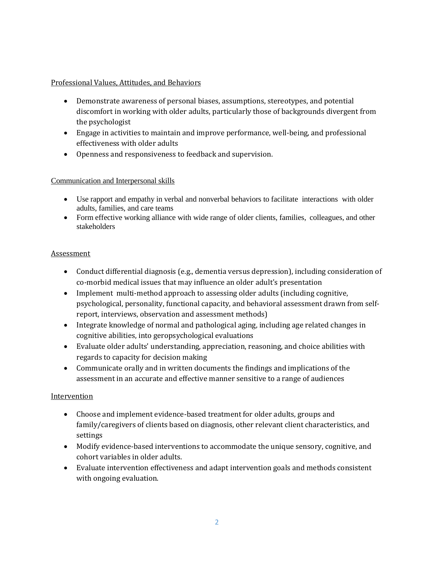#### Professional Values, Attitudes, and Behaviors

- Demonstrate awareness of personal biases, assumptions, stereotypes, and potential discomfort in working with older adults, particularly those of backgrounds divergent from the psychologist
- Engage in activities to maintain and improve performance, well-being, and professional effectiveness with older adults
- Openness and responsiveness to feedback and supervision.

### Communication and Interpersonal skills

- Use rapport and empathy in verbal and nonverbal behaviors to facilitate interactions with older adults, families, and care teams
- Form effective working alliance with wide range of older clients, families, colleagues, and other stakeholders

### **Assessment**

- Conduct differential diagnosis (e.g., dementia versus depression), including consideration of co-morbid medical issues that may influence an older adult's presentation
- Implement multi-method approach to assessing older adults (including cognitive, psychological, personality, functional capacity, and behavioral assessment drawn from selfreport, interviews, observation and assessment methods)
- Integrate knowledge of normal and pathological aging, including age related changes in cognitive abilities, into geropsychological evaluations
- Evaluate older adults' understanding, appreciation, reasoning, and choice abilities with regards to capacity for decision making
- Communicate orally and in written documents the findings and implications of the assessment in an accurate and effective manner sensitive to a range of audiences

# Intervention

- Choose and implement evidence-based treatment for older adults, groups and family/caregivers of clients based on diagnosis, other relevant client characteristics, and settings
- Modify evidence-based interventions to accommodate the unique sensory, cognitive, and cohort variables in older adults.
- Evaluate intervention effectiveness and adapt intervention goals and methods consistent with ongoing evaluation.